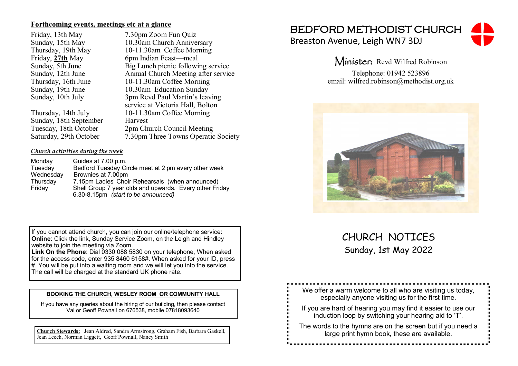### **Forthcoming events, meetings etc at a glance**

Sunday, 18th September<br>Tuesday, 18th October 2pm Ch

Friday, 13th May 7.30pm Zoom Fun Quiz<br>Sunday. 15th May 10.30am Church Anniver Sunday, 15th May 10.30am Church Anniversary<br>Thursday, 19th May 10-11.30am Coffee Morning Thursday, 19th May 10-11.30am Coffee Morning<br>Friday. 27th May 6pm Indian Feast—meal Friday, **27th** May 6pm Indian Feast—meal<br>Sunday, 5th June Big Lunch picnic followi Sunday, 5th June Big Lunch picnic following service<br>Sunday, 12th June Annual Church Meeting after service Sunday, 12th June Annual Church Meeting after service<br>Thursday, 16th June 10-11.30am Coffee Morning Thursday, 16th June 10-11.30am Coffee Morning<br>Sunday, 19th June 10.30am Education Sunday Sunday, 19th June 10.30am Education Sunday<br>Sunday, 10th July 3pm Revd Paul Martin's lea 3pm Revd Paul Martin's leaving service at Victoria Hall, Bolton Thursday, 14th July 10-11.30am Coffee Morning Tuesday, 18th October 2pm Church Council Meeting<br>Saturday, 29th October 7.30pm Three Towns Operation 7.30pm Three Towns Operatic Society

### *Church activities during the week*

| Monday    | Guides at 7.00 p.m.                                     |
|-----------|---------------------------------------------------------|
| Tuesday   | Bedford Tuesday Circle meet at 2 pm every other week    |
| Wednesday | Brownies at 7.00pm                                      |
| Thursday  | 7.15pm Ladies' Choir Rehearsals (when announced)        |
| Friday    | Shell Group 7 year olds and upwards. Every other Friday |
|           | 6.30-8.15pm (start to be announced)                     |

If you cannot attend church, you can join our online/telephone service: **Online**: Click the link, Sunday Service Zoom, on the Leigh and Hindley website to join the meeting via Zoom.

**Link On the Phone**: Dial 0330 088 5830 on your telephone, When asked for the access code, enter 935 8460 6158#. When asked for your ID, press #. You will be put into a waiting room and we will let you into the service. The call will be charged at the standard UK phone rate.

#### **BOOKING THE CHURCH, WESLEY ROOM OR COMMUNITY HALL**

If you have any queries about the hiring of our building, then please contact Val or Geoff Pownall on 676538, mobile 07818093640

**Church Stewards:** Jean Aldred, Sandra Armstrong, Graham Fish, Barbara Gaskell, Jean Leech, Norman Liggett, Geoff Pownall, Nancy Smith

## BEDFORD METHODIST CHURCH

Breaston Avenue, Leigh WN7 3DJ



Minister: Revd Wilfred Robinson

Telephone: 01942 523896 email: wilfred.robinson@methodist.org.uk



# CHURCH NOTICES Sunday, 1st May 2022

| ш<br>ш<br>We offer a warm welcome to all who are visiting us today,<br>п<br>ш<br>п<br>especially anyone visiting us for the first time.<br>п<br>ш<br>П<br>ш            |
|------------------------------------------------------------------------------------------------------------------------------------------------------------------------|
| u<br>U<br>ш<br>If you are hard of hearing you may find it easier to use our<br>ш<br>п<br>п<br>induction loop by switching your hearing aid to 'T'.<br>п<br>п<br>п<br>п |
| u<br>H<br>ш<br>The words to the hymns are on the screen but if you need a<br>ш<br>п<br>п<br>large print hymn book, these are available.<br>п<br>ш<br>ш<br>ш            |
|                                                                                                                                                                        |